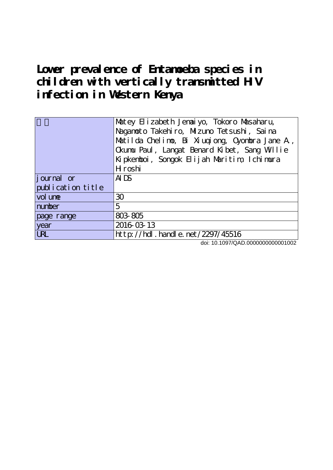Lower prevalence of Entanoeba species in **children with vertically transmitted HIV infection in Western Kenya**

|                   | Matey Elizabeth Jenaiyo, Tokoro Masaharu,<br>Naganoto Takehiro, Mizuno Tetsushi, Saina<br>Matilda Chelino, Bi Xiuqiong, Cyonbra Jane A,<br>Okumu Paul, Langat Benard Kibet, Sang Willie |
|-------------------|-----------------------------------------------------------------------------------------------------------------------------------------------------------------------------------------|
|                   | Kipkenboi, Songok Elijah Maritim, Ichimura                                                                                                                                              |
|                   | H roshi                                                                                                                                                                                 |
| journal or        | $A^{T}$                                                                                                                                                                                 |
| publication title |                                                                                                                                                                                         |
| vol une           | 30                                                                                                                                                                                      |
| number            | 5                                                                                                                                                                                       |
| page range        | 803 805                                                                                                                                                                                 |
| year              | 2016-03-13                                                                                                                                                                              |
| <b>URL</b>        | http://hdl.handle.net/2297/45516                                                                                                                                                        |

doi: 10.1097/QAD.0000000000001002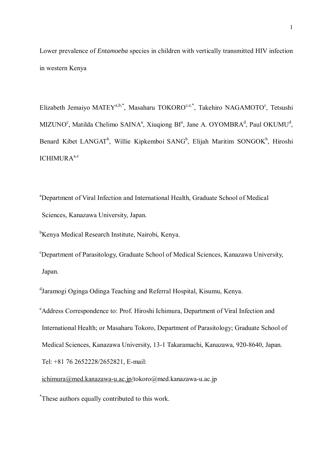Lower prevalence of *Entamoeba* species in children with vertically transmitted HIV infection in western Kenya

Elizabeth Jemaiyo MATEY<sup>a,b,\*</sup>, Masaharu TOKORO<sup>c,e,\*</sup>, Takehiro NAGAMOTO<sup>c</sup>, Tetsushi MIZUNO<sup>c</sup>, Matilda Chelimo SAINA<sup>a</sup>, Xiuqiong BI<sup>a</sup>, Jane A. OYOMBRA<sup>d</sup>, Paul OKUMU<sup>d</sup>, Benard Kibet LANGAT<sup>b</sup>, Willie Kipkemboi SANG<sup>b</sup>, Elijah Maritim SONGOK<sup>b</sup>, Hiroshi ICHIMURA<sup>a,e</sup>

a Department of Viral Infection and International Health, Graduate School of Medical Sciences, Kanazawa University, Japan.

b Kenya Medical Research Institute, Nairobi, Kenya.

c Department of Parasitology, Graduate School of Medical Sciences, Kanazawa University, Japan.

d Jaramogi Oginga Odinga Teaching and Referral Hospital, Kisumu, Kenya.

e Address Correspondence to: Prof. Hiroshi Ichimura, Department of Viral Infection and International Health; or Masaharu Tokoro, Department of Parasitology; Graduate School of Medical Sciences, Kanazawa University, 13-1 Takaramachi, Kanazawa, 920-8640, Japan. Tel: +81 76 2652228/2652821, E-mail:

[ichimura@med.kanazawa-u.ac.jp/](mailto:ichimura@med.kanazawa-u.ac.jp)tokoro@med.kanazawa-u.ac.jp

\* These authors equally contributed to this work.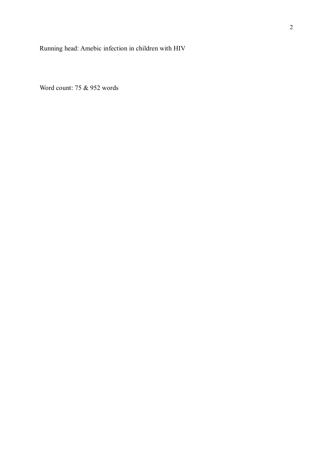Running head: Amebic infection in children with HIV

Word count: 75 & 952 words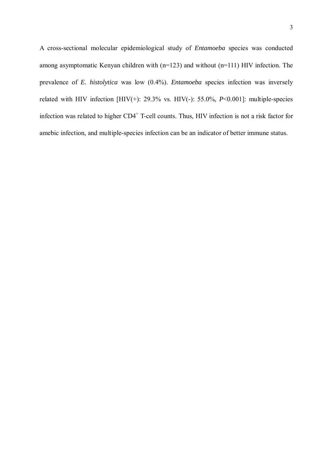A cross-sectional molecular epidemiological study of *Entamoeba* species was conducted among asymptomatic Kenyan children with (n=123) and without (n=111) HIV infection. The prevalence of *E. histolytica* was low (0.4%). *Entamoeba* species infection was inversely related with HIV infection [HIV(+): 29.3% vs. HIV(-): 55.0%, *P*<0.001]: multiple-species infection was related to higher CD4<sup>+</sup> T-cell counts. Thus, HIV infection is not a risk factor for amebic infection, and multiple-species infection can be an indicator of better immune status.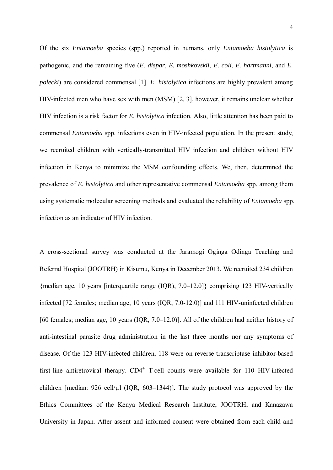Of the six *Entamoeba* species (spp.) reported in humans, only *Entamoeba histolytica* is pathogenic, and the remaining five (*E. dispar*, *E. moshkovskii*, *E. coli*, *E. hartmanni*, and *E. polecki*) are considered commensal [1]. *E. histolytica* infections are highly prevalent among HIV-infected men who have sex with men (MSM) [2, 3], however, it remains unclear whether HIV infection is a risk factor for *E. histolytica* infection. Also, little attention has been paid to commensal *Entamoeba* spp. infections even in HIV-infected population. In the present study, we recruited children with vertically-transmitted HIV infection and children without HIV infection in Kenya to minimize the MSM confounding effects. We, then, determined the prevalence of *E. histolytica* and other representative commensal *Entamoeba* spp. among them using systematic molecular screening methods and evaluated the reliability of *Entamoeba* spp. infection as an indicator of HIV infection.

A cross-sectional survey was conducted at the Jaramogi Oginga Odinga Teaching and Referral Hospital (JOOTRH) in Kisumu, Kenya in December 2013. We recruited 234 children {median age, 10 years [interquartile range (IQR), 7.0–12.0]} comprising 123 HIV-vertically infected [72 females; median age, 10 years (IQR, 7.0-12.0)] and 111 HIV-uninfected children [60 females; median age, 10 years (IQR, 7.0–12.0)]. All of the children had neither history of anti-intestinal parasite drug administration in the last three months nor any symptoms of disease. Of the 123 HIV-infected children, 118 were on reverse transcriptase inhibitor-based first-line antiretroviral therapy. CD4<sup>+</sup> T-cell counts were available for 110 HIV-infected children [median:  $926$  cell/ $\mu$ l (IQR,  $603-1344$ )]. The study protocol was approved by the Ethics Committees of the Kenya Medical Research Institute, JOOTRH, and Kanazawa University in Japan. After assent and informed consent were obtained from each child and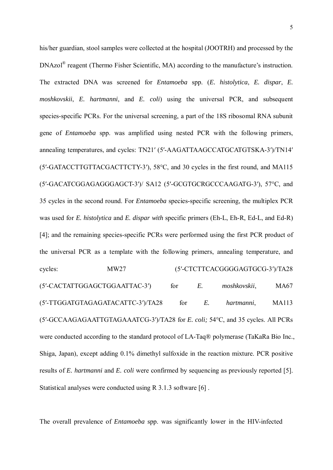his/her guardian, stool samples were collected at the hospital (JOOTRH) and processed by the DNAzol<sup>®</sup> reagent (Thermo Fisher Scientific, MA) according to the manufacture's instruction. The extracted DNA was screened for *Entamoeba* spp. (*E. histolytica*, *E. dispar*, *E. moshkovskii*, *E. hartmanni*, and *E. coli*) using the universal PCR, and subsequent species-specific PCRs. For the universal screening, a part of the 18S ribosomal RNA subunit gene of *Entamoeba* spp. was amplified using nested PCR with the following primers, annealing temperatures, and cycles: TN21′ (5′-AAGATTAAGCCATGCATGTSKA-3′)/TN14′ (5′-GATACCTTGTTACGACTTCTY-3′), 58°C, and 30 cycles in the first round, and MA115 (5′-GACATCGGAGAGGGAGCT-3′)/ SA12 (5′-GCGTGCRGCCCAAGATG-3′), 57°C, and 35 cycles in the second round. For *Entamoeba* species-specific screening, the multiplex PCR was used for *E. histolytica* and *E. dispar with* specific primers (Eh-L, Eh-R, Ed-L, and Ed-R) [4]; and the remaining species-specific PCRs were performed using the first PCR product of the universal PCR as a template with the following primers, annealing temperature, and cycles: MW27 (5′-CTCTTCACGGGGAGTGCG-3′)/TA28 (5′-CACTATTGGAGCTGGAATTAC-3′) for *E. moshkovskii*, MA67 (5′-TTGGATGTAGAGATACATTC-3′)/TA28 for *E. hartmanni*, MA113 (5′-GCCAAGAGAATTGTAGAAATCG-3′)/TA28 for *E. coli;* 54°C, and 35 cycles. All PCRs were conducted according to the standard protocol of LA-Taq® polymerase (TaKaRa Bio Inc., Shiga, Japan), except adding 0.1% dimethyl sulfoxide in the reaction mixture. PCR positive results of *E. hartmanni* and *E. coli* were confirmed by sequencing as previously reported [5]. Statistical analyses were conducted using R 3.1.3 software [6] .

The overall prevalence of *Entamoeba* spp. was significantly lower in the HIV-infected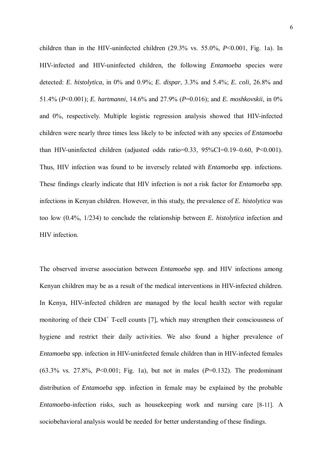children than in the HIV-uninfected children (29.3% vs. 55.0%, *P*<0.001, Fig. 1a). In HIV-infected and HIV-uninfected children, the following *Entamoeba* species were detected: *E. histolytica*, in 0% and 0.9%; *E. dispar*, 3.3% and 5.4%; *E. coli*, 26.8% and 51.4% (*P*<0.001); *E. hartmanni*, 14.6% and 27.9% (*P*=0.016); and *E. moshkovskii*, in 0% and 0%, respectively. Multiple logistic regression analysis showed that HIV-infected children were nearly three times less likely to be infected with any species of *Entamoeba* than HIV-uninfected children (adjusted odds ratio=0.33, 95%CI=0.19–0.60, P<0.001). Thus, HIV infection was found to be inversely related with *Entamoeba* spp. infections. These findings clearly indicate that HIV infection is not a risk factor for *Entamoeba* spp. infections in Kenyan children. However, in this study, the prevalence of *E. histolytica* was too low (0.4%, 1/234) to conclude the relationship between *E. histolytica* infection and HIV infection.

The observed inverse association between *Entamoeba* spp. and HIV infections among Kenyan children may be as a result of the medical interventions in HIV-infected children. In Kenya, HIV-infected children are managed by the local health sector with regular monitoring of their  $CD4^+$  T-cell counts [7], which may strengthen their consciousness of hygiene and restrict their daily activities. We also found a higher prevalence of *Entamoeba* spp. infection in HIV-uninfected female children than in HIV-infected females (63.3% vs. 27.8%, *P*<0.001; Fig. 1a), but not in males (*P*=0.132). The predominant distribution of *Entamoeba* spp. infection in female may be explained by the probable *Entamoeba*-infection risks, such as housekeeping work and nursing care [8-11]. A sociobehavioral analysis would be needed for better understanding of these findings.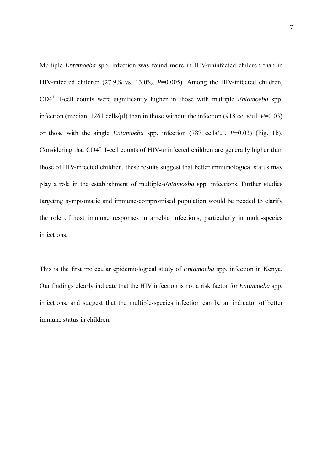Multiple *Entamoeba* spp. infection was found more in HIV-uninfected children than in HIV-infected children (27.9% vs. 13.0%, *P*=0.005). Among the HIV-infected children, CD4+ T-cell counts were significantly higher in those with multiple *Entamoeba* spp. infection (median, 1261 cells/ $\mu$ l) than in those without the infection (918 cells/ $\mu$ l, *P*=0.03) or those with the single *Entamoeba* spp. infection (787 cells/µl, *P*=0.03) (Fig. 1b). Considering that CD4<sup>+</sup> T-cell counts of HIV-uninfected children are generally higher than those of HIV-infected children, these results suggest that better immunological status may play a role in the establishment of multiple-*Entamoeba* spp. infections. Further studies targeting symptomatic and immune-compromised population would be needed to clarify the role of host immune responses in amebic infections, particularly in multi-species infections.

This is the first molecular epidemiological study of *Entamoeba* spp. infection in Kenya. Our findings clearly indicate that the HIV infection is not a risk factor for *Entamoeba* spp. infections, and suggest that the multiple-species infection can be an indicator of better immune status in children.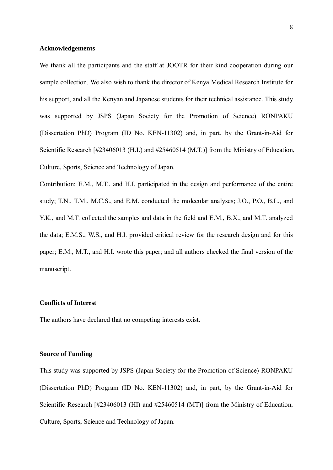## **Acknowledgements**

We thank all the participants and the staff at JOOTR for their kind cooperation during our sample collection. We also wish to thank the director of Kenya Medical Research Institute for his support, and all the Kenyan and Japanese students for their technical assistance. This study was supported by JSPS (Japan Society for the Promotion of Science) RONPAKU (Dissertation PhD) Program (ID No. KEN-11302) and, in part, by the Grant-in-Aid for Scientific Research [#23406013 (H.I.) and #25460514 (M.T.)] from the Ministry of Education, Culture, Sports, Science and Technology of Japan.

Contribution: E.M., M.T., and H.I. participated in the design and performance of the entire study; T.N., T.M., M.C.S., and E.M. conducted the molecular analyses; J.O., P.O., B.L., and Y.K., and M.T. collected the samples and data in the field and E.M., B.X., and M.T. analyzed the data; E.M.S., W.S., and H.I. provided critical review for the research design and for this paper; E.M., M.T., and H.I. wrote this paper; and all authors checked the final version of the manuscript.

# **Conflicts of Interest**

The authors have declared that no competing interests exist.

## **Source of Funding**

This study was supported by JSPS (Japan Society for the Promotion of Science) RONPAKU (Dissertation PhD) Program (ID No. KEN-11302) and, in part, by the Grant-in-Aid for Scientific Research [#23406013 (HI) and #25460514 (MT)] from the Ministry of Education, Culture, Sports, Science and Technology of Japan.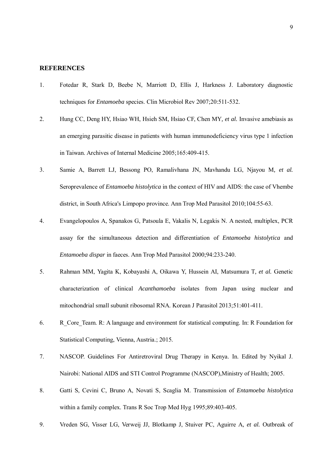#### **REFERENCES**

- 1. Fotedar R, Stark D, Beebe N, Marriott D, Ellis J, Harkness J. Laboratory diagnostic techniques for *Entamoeba* species. Clin Microbiol Rev 2007;20:511-532.
- 2. Hung CC, Deng HY, Hsiao WH, Hsieh SM, Hsiao CF, Chen MY*, et al.* Invasive amebiasis as an emerging parasitic disease in patients with human immunodeficiency virus type 1 infection in Taiwan. Archives of Internal Medicine 2005;165:409-415.
- 3. Samie A, Barrett LJ, Bessong PO, Ramalivhana JN, Mavhandu LG, Njayou M*, et al.* Seroprevalence of *Entamoeba histolytica* in the context of HIV and AIDS: the case of Vhembe district, in South Africa's Limpopo province. Ann Trop Med Parasitol 2010;104:55-63.
- 4. Evangelopoulos A, Spanakos G, Patsoula E, Vakalis N, Legakis N. A nested, multiplex, PCR assay for the simultaneous detection and differentiation of *Entamoeba histolytica* and *Entamoeba dispar* in faeces. Ann Trop Med Parasitol 2000;94:233-240.
- 5. Rahman MM, Yagita K, Kobayashi A, Oikawa Y, Hussein AI, Matsumura T*, et al.* Genetic characterization of clinical *Acanthamoeba* isolates from Japan using nuclear and mitochondrial small subunit ribosomal RNA. Korean J Parasitol 2013;51:401-411.
- 6. R\_Core\_Team. R: A language and environment for statistical computing. In: R Foundation for Statistical Computing, Vienna, Austria.; 2015.
- 7. NASCOP. Guidelines For Antiretroviral Drug Therapy in Kenya. In. Edited by Nyikal J. Nairobi: National AIDS and STI Control Programme (NASCOP),Ministry of Health; 2005.
- 8. Gatti S, Cevini C, Bruno A, Novati S, Scaglia M. Transmission of *Entamoeba histolytica* within a family complex. Trans R Soc Trop Med Hyg 1995:89:403-405.
- 9. Vreden SG, Visser LG, Verweij JJ, Blotkamp J, Stuiver PC, Aguirre A*, et al.* Outbreak of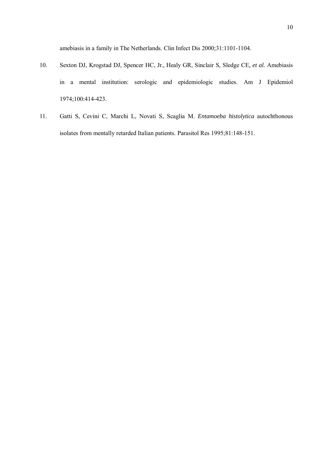amebiasis in a family in The Netherlands. Clin Infect Dis 2000;31:1101-1104.

- 10. Sexton DJ, Krogstad DJ, Spencer HC, Jr., Healy GR, Sinclair S, Sledge CE*, et al.* Amebiasis in a mental institution: serologic and epidemiologic studies. Am J Epidemiol 1974;100:414-423.
- 11. Gatti S, Cevini C, Marchi L, Novati S, Scaglia M. *Entamoeba histolytica* autochthonous isolates from mentally retarded Italian patients. Parasitol Res 1995;81:148-151.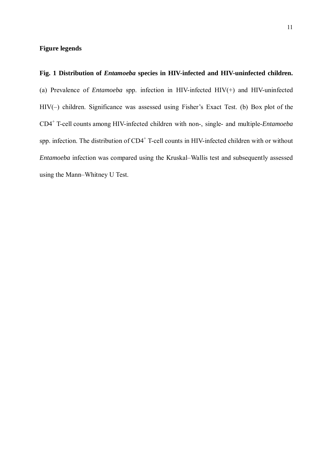# **Figure legends**

**Fig. 1 Distribution of** *Entamoeba* **species in HIV-infected and HIV-uninfected children.** (a) Prevalence of *Entamoeba* spp. infection in HIV-infected HIV(+) and HIV-uninfected HIV(–) children. Significance was assessed using Fisher's Exact Test. (b) Box plot of the CD4+ T-cell counts among HIV-infected children with non-, single- and multiple-*Entamoeba* spp. infection. The distribution of CD4<sup>+</sup> T-cell counts in HIV-infected children with or without *Entamoeba* infection was compared using the Kruskal–Wallis test and subsequently assessed using the Mann–Whitney U Test.